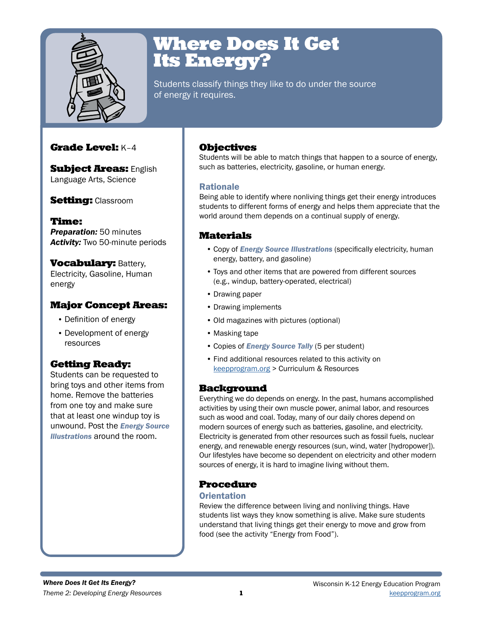

## Where Does It Get Its Energy?

Students classify things they like to do under the source of energy it requires.

## Grade Level: K–4

**Subject Areas: English** Language Arts, Science

### **Setting: Classroom**

Time: *Preparation:* 50 minutes *Activity:* Two 50-minute periods

**Vocabulary: Battery,** Electricity, Gasoline, Human energy

## Major Concept Areas:

- Definition of energy
- Development of energy resources

## Getting Ready:

Students can be requested to bring toys and other items from home. Remove the batteries from one toy and make sure that at least one windup toy is unwound. Post the *Energy Source Illustrations* around the room.

## **Objectives**

Students will be able to match things that happen to a source of energy, such as batteries, electricity, gasoline, or human energy.

### Rationale

Being able to identify where nonliving things get their energy introduces students to different forms of energy and helps them appreciate that the world around them depends on a continual supply of energy.

## Materials

- Copy of *Energy Source Illustrations* (specifically electricity, human energy, battery, and gasoline)
- Toys and other items that are powered from different sources (e.g., windup, battery-operated, electrical)
- Drawing paper
- Drawing implements
- Old magazines with pictures (optional)
- Masking tape
- Copies of *Energy Source Tally* (5 per student)
- Find additional resources related to this activity on [keepprogram.org](http://keepprogram.org) > Curriculum & Resources

### **Background**

Everything we do depends on energy. In the past, humans accomplished activities by using their own muscle power, animal labor, and resources such as wood and coal. Today, many of our daily chores depend on modern sources of energy such as batteries, gasoline, and electricity. Electricity is generated from other resources such as fossil fuels, nuclear energy, and renewable energy resources (sun, wind, water [hydropower]). Our lifestyles have become so dependent on electricity and other modern sources of energy, it is hard to imagine living without them.

### Procedure

#### **Orientation**

Review the difference between living and nonliving things. Have students list ways they know something is alive. Make sure students understand that living things get their energy to move and grow from food (see the activity "Energy from Food").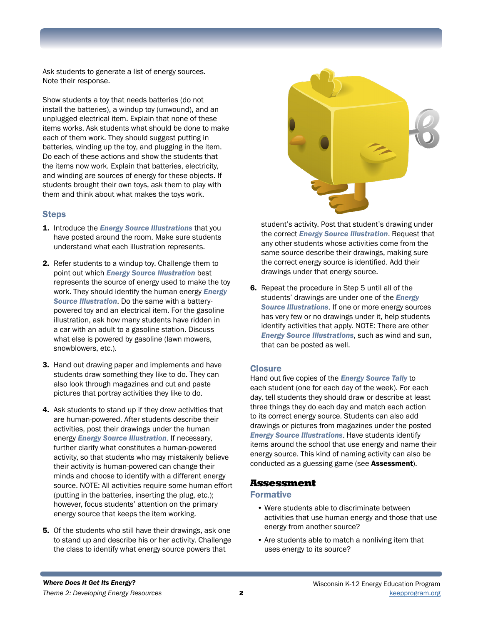Ask students to generate a list of energy sources. Note their response.

Show students a toy that needs batteries (do not install the batteries), a windup toy (unwound), and an unplugged electrical item. Explain that none of these items works. Ask students what should be done to make each of them work. They should suggest putting in batteries, winding up the toy, and plugging in the item. Do each of these actions and show the students that the items now work. Explain that batteries, electricity, and winding are sources of energy for these objects. If students brought their own toys, ask them to play with them and think about what makes the toys work.

#### **Steps**

- 1. Introduce the *Energy Source Illustrations* that you have posted around the room. Make sure students understand what each illustration represents.
- 2. Refer students to a windup toy. Challenge them to point out which *Energy Source Illustration* best represents the source of energy used to make the toy work. They should identify the human energy *Energy Source Illustration*. Do the same with a batterypowered toy and an electrical item. For the gasoline illustration, ask how many students have ridden in a car with an adult to a gasoline station. Discuss what else is powered by gasoline (lawn mowers, snowblowers, etc.).
- 3. Hand out drawing paper and implements and have students draw something they like to do. They can also look through magazines and cut and paste pictures that portray activities they like to do.
- 4. Ask students to stand up if they drew activities that are human-powered. After students describe their activities, post their drawings under the human energy *Energy Source Illustration*. If necessary, further clarify what constitutes a human-powered activity, so that students who may mistakenly believe their activity is human-powered can change their minds and choose to identify with a different energy source. NOTE: All activities require some human effort (putting in the batteries, inserting the plug, etc.); however, focus students' attention on the primary energy source that keeps the item working.
- 5. Of the students who still have their drawings, ask one to stand up and describe his or her activity. Challenge the class to identify what energy source powers that



student's activity. Post that student's drawing under the correct *Energy Source Illustration*. Request that any other students whose activities come from the same source describe their drawings, making sure the correct energy source is identified. Add their drawings under that energy source.

6. Repeat the procedure in Step 5 until all of the students' drawings are under one of the *Energy Source Illustrations*. If one or more energy sources has very few or no drawings under it, help students identify activities that apply. NOTE: There are other *Energy Source Illustrations*, such as wind and sun, that can be posted as well.

#### **Closure**

Hand out five copies of the *Energy Source Tally* to each student (one for each day of the week). For each day, tell students they should draw or describe at least three things they do each day and match each action to its correct energy source. Students can also add drawings or pictures from magazines under the posted *Energy Source Illustrations*. Have students identify items around the school that use energy and name their energy source. This kind of naming activity can also be conducted as a guessing game (see Assessment).

#### Assessment

#### Formative

- Were students able to discriminate between activities that use human energy and those that use energy from another source?
- Are students able to match a nonliving item that uses energy to its source?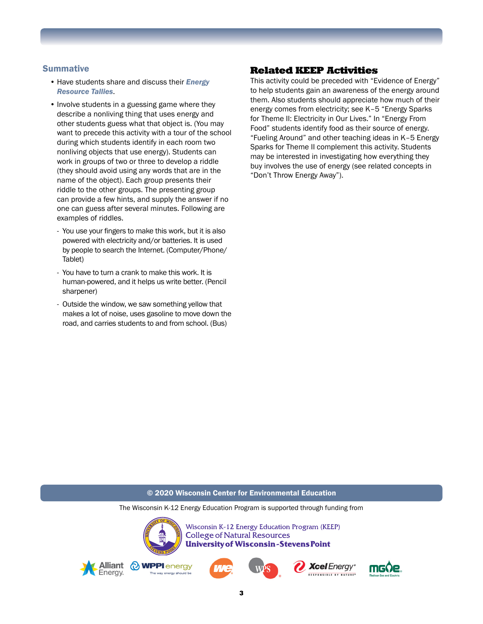#### **Summative**

- Have students share and discuss their *Energy Resource Tallies*.
- Involve students in a guessing game where they describe a nonliving thing that uses energy and other students guess what that object is. (You may want to precede this activity with a tour of the school during which students identify in each room two nonliving objects that use energy). Students can work in groups of two or three to develop a riddle (they should avoid using any words that are in the name of the object). Each group presents their riddle to the other groups. The presenting group can provide a few hints, and supply the answer if no one can guess after several minutes. Following are examples of riddles.
	- You use your fingers to make this work, but it is also powered with electricity and/or batteries. It is used by people to search the Internet. (Computer/Phone/ Tablet)
	- You have to turn a crank to make this work. It is human-powered, and it helps us write better. (Pencil sharpener)
	- Outside the window, we saw something yellow that makes a lot of noise, uses gasoline to move down the road, and carries students to and from school. (Bus)

#### Related KEEP Activities

This activity could be preceded with "Evidence of Energy" to help students gain an awareness of the energy around them. Also students should appreciate how much of their energy comes from electricity; see K–5 "Energy Sparks for Theme II: Electricity in Our Lives." In "Energy From Food" students identify food as their source of energy. "Fueling Around" and other teaching ideas in K–5 Energy Sparks for Theme II complement this activity. Students may be interested in investigating how everything they buy involves the use of energy (see related concepts in "Don't Throw Energy Away").

#### © 2020 Wisconsin Center for Environmental Education

The Wisconsin K-12 Energy Education Program is supported through funding from

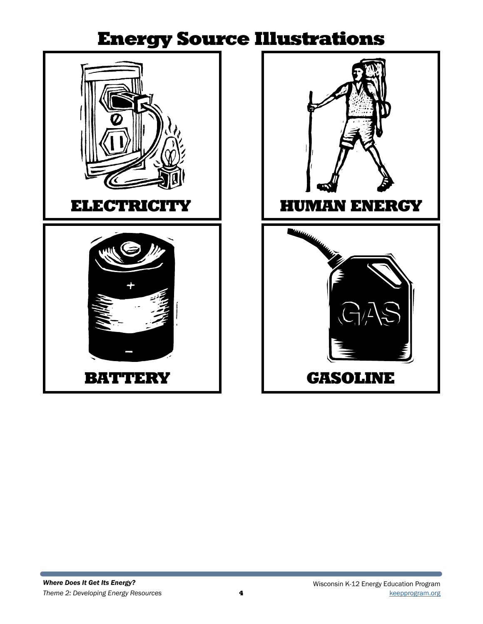## Energy Source Illustrations





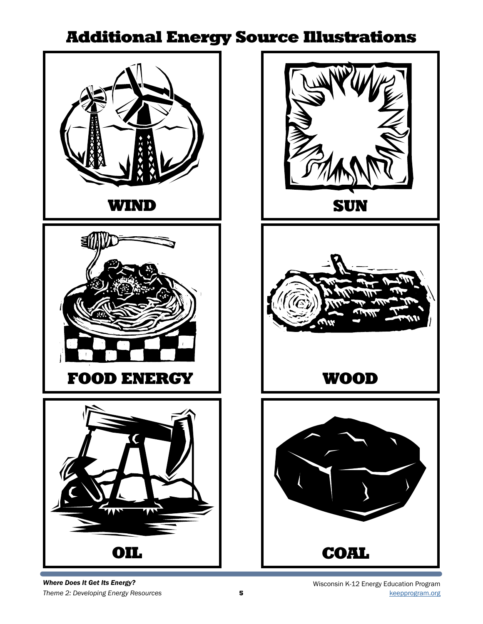## Additional Energy Source Illustrations





*Where Does It Get Its Energy?*